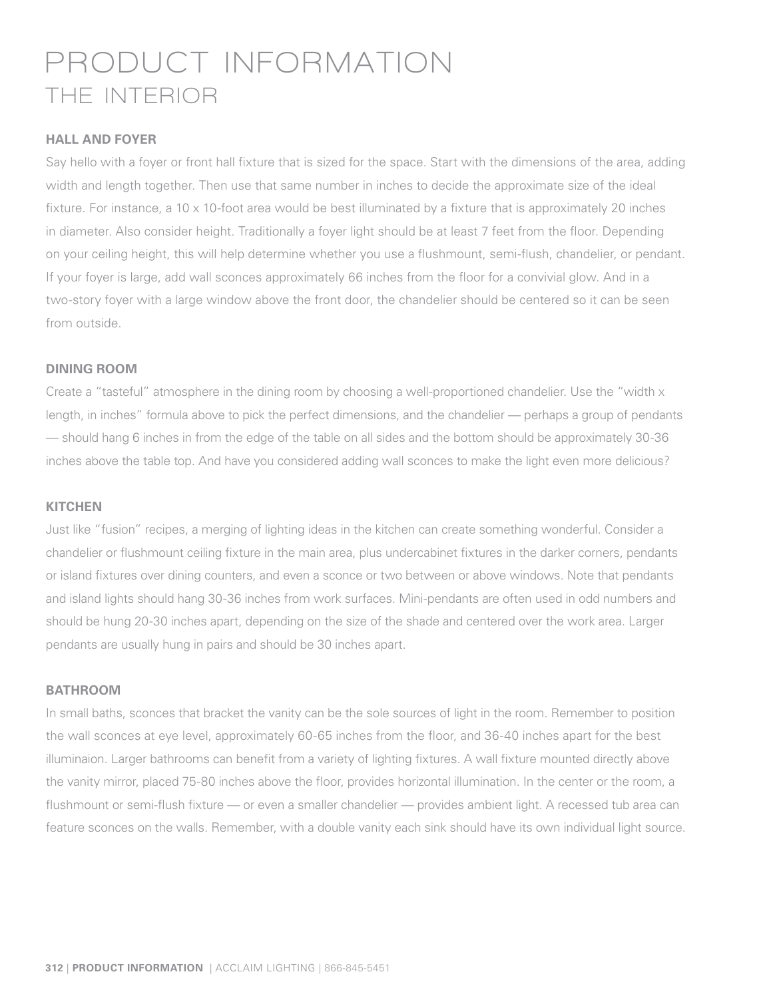# **PRODUCT INFORMATION THE INTERIOR**

#### **HALL AND FOYER**

Say hello with a foyer or front hall fixture that is sized for the space. Start with the dimensions of the area, adding width and length together. Then use that same number in inches to decide the approximate size of the ideal fixture. For instance, a 10  $\times$  10-foot area would be best illuminated by a fixture that is approximately 20 inches in diameter. Also consider height. Traditionally a foyer light should be at least 7 feet from the floor. Depending on your ceiling height, this will help determine whether you use a flushmount, semi-flush, chandelier, or pendant. If your foyer is large, add wall sconces approximately 66 inches from the floor for a convivial glow. And in a two-story foyer with a large window above the front door, the chandelier should be centered so it can be seen from outside.

#### **DINING ROOM**

Create a "tasteful" atmosphere in the dining room by choosing a well-proportioned chandelier. Use the "width x length, in inches" formula above to pick the perfect dimensions, and the chandelier — perhaps a group of pendants — should hang 6 inches in from the edge of the table on all sides and the bottom should be approximately 30-36 inches above the table top. And have you considered adding wall sconces to make the light even more delicious?

#### **KITCHEN**

Just like "fusion" recipes, a merging of lighting ideas in the kitchen can create something wonderful. Consider a chandelier or flushmount ceiling fixture in the main area, plus undercabinet fixtures in the darker corners, pendants or island fixtures over dining counters, and even a sconce or two between or above windows. Note that pendants and island lights should hang 30-36 inches from work surfaces. Mini-pendants are often used in odd numbers and should be hung 20-30 inches apart, depending on the size of the shade and centered over the work area. Larger pendants are usually hung in pairs and should be 30 inches apart.

#### **BATHROOM**

In small baths, sconces that bracket the vanity can be the sole sources of light in the room. Remember to position the wall sconces at eye level, approximately 60-65 inches from the floor, and 36-40 inches apart for the best illuminaion. Larger bathrooms can benefit from a variety of lighting fixtures. A wall fixture mounted directly above the vanity mirror, placed 75-80 inches above the floor, provides horizontal illumination. In the center or the room, a flushmount or semi-flush fixture — or even a smaller chandelier — provides ambient light. A recessed tub area can feature sconces on the walls. Remember, with a double vanity each sink should have its own individual light source.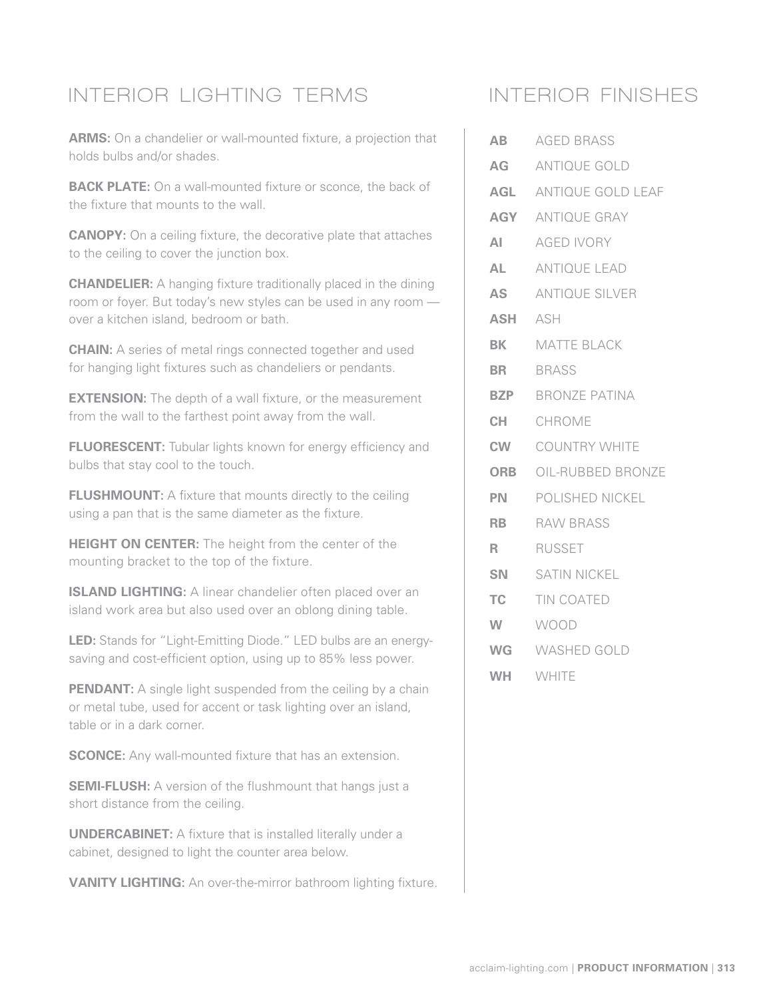## **INTERIOR LIGHTING TERMS**

**ARMS:** On a chandelier or wall-mounted fixture, a projection that holds bulbs and/or shades.

**BACK PLATE:** On a wall-mounted fixture or sconce, the back of the fixture that mounts to the wall.

**CANOPY:** On a ceiling fixture, the decorative plate that attaches to the ceiling to cover the junction box.

**CHANDELIER:** A hanging fixture traditionally placed in the dining room or foyer. But today's new styles can be used in any room over a kitchen island, bedroom or bath.

**CHAIN:** A series of metal rings connected together and used for hanging light fixtures such as chandeliers or pendants.

**EXTENSION:** The depth of a wall fixture, or the measurement from the wall to the farthest point away from the wall.

**FLUORESCENT:** Tubular lights known for energy efficiency and bulbs that stay cool to the touch.

**FLUSHMOUNT:** A fixture that mounts directly to the ceiling using a pan that is the same diameter as the fixture.

**HEIGHT ON CENTER:** The height from the center of the mounting bracket to the top of the fixture.

**ISLAND LIGHTING:** A linear chandelier often placed over an island work area but also used over an oblong dining table.

**LED:** Stands for "Light-Emitting Diode." LED bulbs are an energysaving and cost-efficient option, using up to 85% less power.

**PENDANT:** A single light suspended from the ceiling by a chain or metal tube, used for accent or task lighting over an island, table or in a dark corner.

**SCONCE:** Any wall-mounted fixture that has an extension.

**SEMI-FLUSH:** A version of the flushmount that hangs just a short distance from the ceiling.

**UNDERCABINET:** A fixture that is installed literally under a cabinet, designed to light the counter area below.

**VANITY LIGHTING:** An over-the-mirror bathroom lighting fixture.

### **INTERIOR FINISHES**

| <b>AB</b>  | <b>AGED BRASS</b>            |
|------------|------------------------------|
|            | AG ANTIQUE GOLD              |
|            | AGL ANTIQUE GOLD LEAF        |
| AGY        | ANTIQUE GRAY                 |
| ΑI         | <b>AGED IVORY</b>            |
| <b>AL</b>  | <b>ANTIQUE LEAD</b>          |
| AS         | <b>ANTIQUE SILVER</b>        |
| <b>ASH</b> | ASH                          |
| BK         | <b>MATTE BLACK</b>           |
| <b>BR</b>  | <b>BRASS</b>                 |
| <b>BZP</b> | <b>BRONZE PATINA</b>         |
| CH.        | CHROMF                       |
| <b>CW</b>  | <b>COUNTRY WHITE</b>         |
|            | <b>ORB</b> OIL-RUBBED BRONZE |
| PN.        | POLISHED NICKEL              |
| <b>RB</b>  | <b>RAW BRASS</b>             |
| R          | <b>RUSSET</b>                |
| SN         | <b>SATIN NICKEL</b>          |
| TC         | <b>TIN COATED</b>            |
| W          | WOOD                         |
| <b>WG</b>  | WASHED GOLD                  |
| <b>WH</b>  | WHITE                        |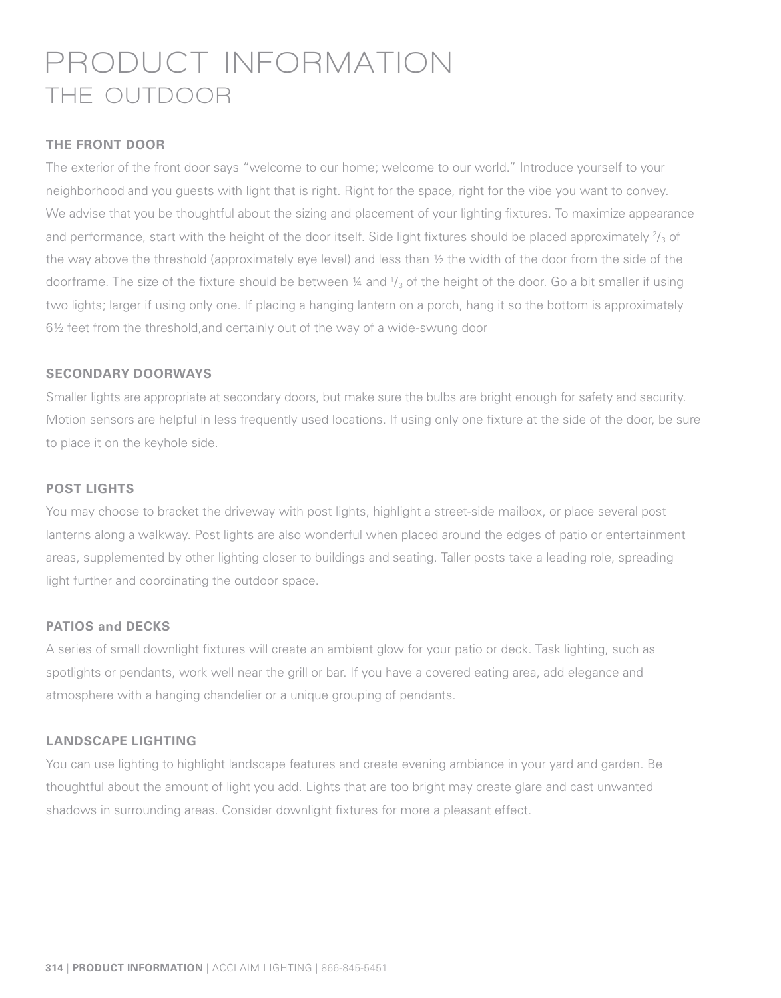# **PRODUCT INFORMATION THE OUTDOOR**

#### **THE FRONT DOOR**

The exterior of the front door says "welcome to our home; welcome to our world." Introduce yourself to your neighborhood and you guests with light that is right. Right for the space, right for the vibe you want to convey. We advise that you be thoughtful about the sizing and placement of your lighting fixtures. To maximize appearance and performance, start with the height of the door itself. Side light fixtures should be placed approximately  $\frac{2}{3}$  of the way above the threshold (approximately eye level) and less than ½ the width of the door from the side of the doorframe. The size of the fixture should be between ¼ and  $\frac{1}{3}$  of the height of the door. Go a bit smaller if using two lights; larger if using only one. If placing a hanging lantern on a porch, hang it so the bottom is approximately 6½ feet from the threshold,and certainly out of the way of a wide-swung door

#### **SECONDARY DOORWAYS**

Smaller lights are appropriate at secondary doors, but make sure the bulbs are bright enough for safety and security. Motion sensors are helpful in less frequently used locations. If using only one fixture at the side of the door, be sure to place it on the keyhole side.

#### **POST LIGHTS**

You may choose to bracket the driveway with post lights, highlight a street-side mailbox, or place several post lanterns along a walkway. Post lights are also wonderful when placed around the edges of patio or entertainment areas, supplemented by other lighting closer to buildings and seating. Taller posts take a leading role, spreading light further and coordinating the outdoor space.

#### **PATIOS and DECKS**

A series of small downlight fixtures will create an ambient glow for your patio or deck. Task lighting, such as spotlights or pendants, work well near the grill or bar. If you have a covered eating area, add elegance and atmosphere with a hanging chandelier or a unique grouping of pendants.

#### **LANDSCAPE LIGHTING**

You can use lighting to highlight landscape features and create evening ambiance in your yard and garden. Be thoughtful about the amount of light you add. Lights that are too bright may create glare and cast unwanted shadows in surrounding areas. Consider downlight fixtures for more a pleasant effect.